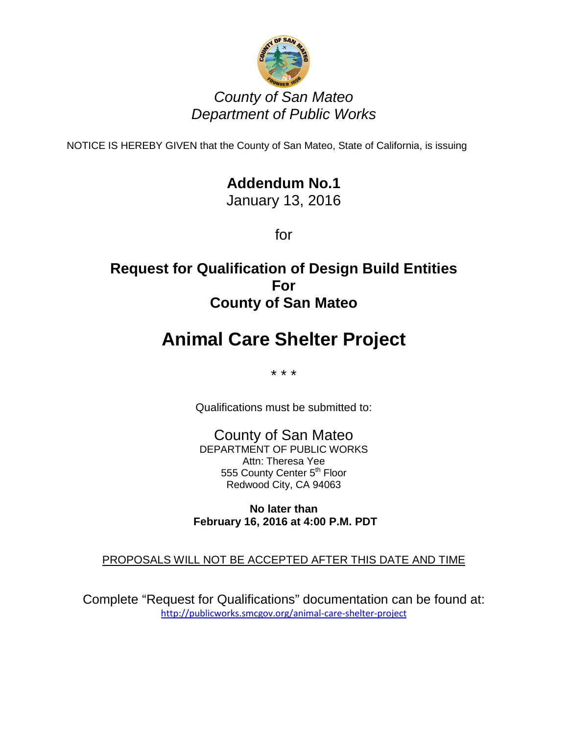

## *County of San Mateo Department of Public Works*

NOTICE IS HEREBY GIVEN that the County of San Mateo, State of California, is issuing

# **Addendum No.1**

January 13, 2016

for

# **Request for Qualification of Design Build Entities For County of San Mateo**

# **Animal Care Shelter Project**

\* \* \*

Qualifications must be submitted to:

County of San Mateo DEPARTMENT OF PUBLIC WORKS Attn: Theresa Yee 555 County Center 5<sup>th</sup> Floor Redwood City, CA 94063

**No later than February 16, 2016 at 4:00 P.M. PDT**

### PROPOSALS WILL NOT BE ACCEPTED AFTER THIS DATE AND TIME

Complete "Request for Qualifications" documentation can be found at: <http://publicworks.smcgov.org/animal-care-shelter-project>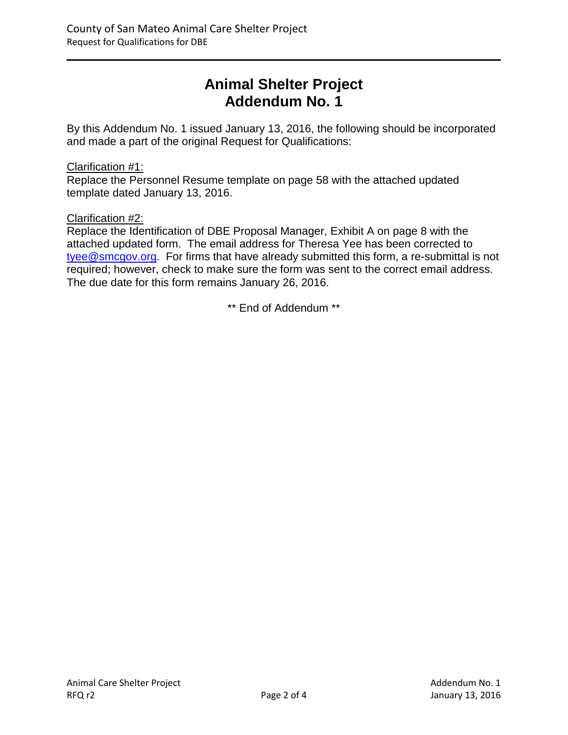# **Animal Shelter Project Addendum No. 1**

By this Addendum No. 1 issued January 13, 2016, the following should be incorporated and made a part of the original Request for Qualifications:

#### Clarification #1:

Replace the Personnel Resume template on page 58 with the attached updated template dated January 13, 2016.

#### Clarification #2:

Replace the Identification of DBE Proposal Manager, Exhibit A on page 8 with the attached updated form. The email address for Theresa Yee has been corrected to [tyee@smcgov.org.](mailto:tyee@smcgov.org) For firms that have already submitted this form, a re-submittal is not required; however, check to make sure the form was sent to the correct email address. The due date for this form remains January 26, 2016.

\*\* End of Addendum \*\*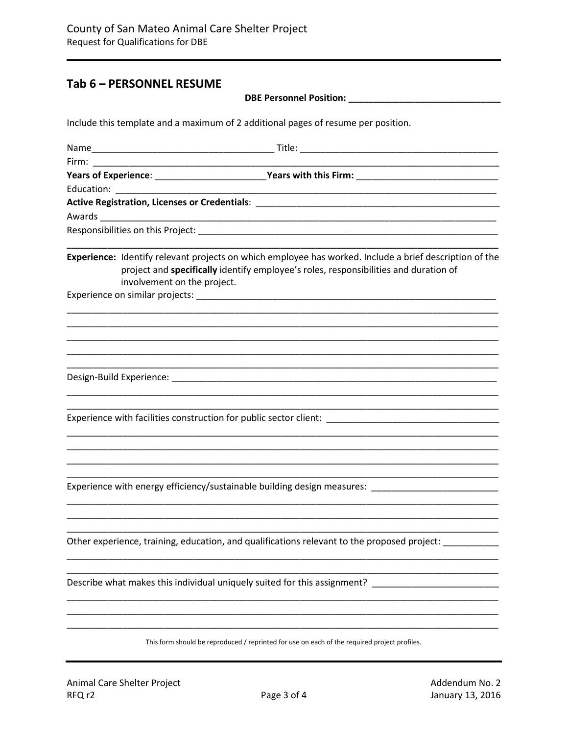## Tab 6 - PERSONNEL RESUME

| <b>DBE Personnel Position:</b> |  |
|--------------------------------|--|
|--------------------------------|--|

Include this template and a maximum of 2 additional pages of resume per position.

| Years of Experience: __________________________Years with this Firm: _______________________________                                                                                                                           |
|--------------------------------------------------------------------------------------------------------------------------------------------------------------------------------------------------------------------------------|
|                                                                                                                                                                                                                                |
|                                                                                                                                                                                                                                |
|                                                                                                                                                                                                                                |
|                                                                                                                                                                                                                                |
| Experience: Identify relevant projects on which employee has worked. Include a brief description of the<br>project and specifically identify employee's roles, responsibilities and duration of<br>involvement on the project. |
|                                                                                                                                                                                                                                |
|                                                                                                                                                                                                                                |
| Experience with facilities construction for public sector client: _________________________________                                                                                                                            |
| Experience with energy efficiency/sustainable building design measures:                                                                                                                                                        |
| Other experience, training, education, and qualifications relevant to the proposed project: ________                                                                                                                           |
| Describe what makes this individual uniquely suited for this assignment?                                                                                                                                                       |
| This form should be reproduced / reprinted for use on each of the required project profiles.                                                                                                                                   |